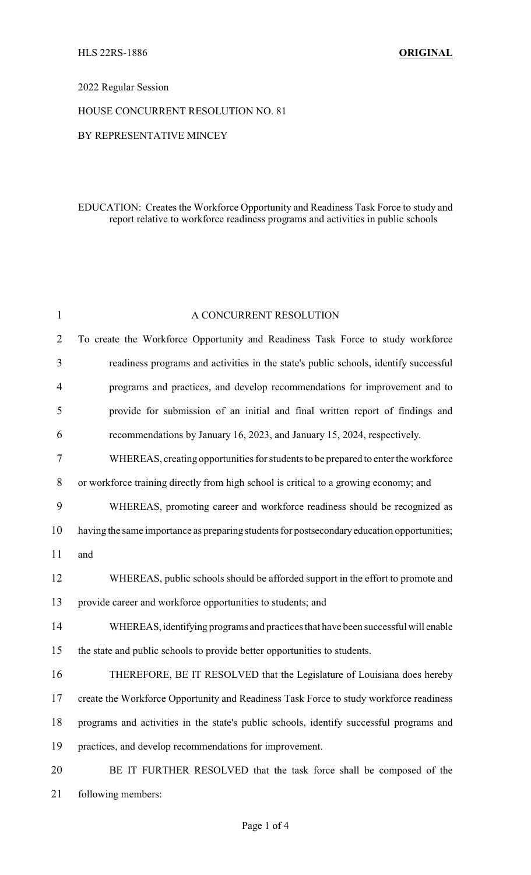## 2022 Regular Session

#### HOUSE CONCURRENT RESOLUTION NO. 81

#### BY REPRESENTATIVE MINCEY

## EDUCATION: Creates the Workforce Opportunity and Readiness Task Force to study and report relative to workforce readiness programs and activities in public schools

| 1              | A CONCURRENT RESOLUTION                                                                     |
|----------------|---------------------------------------------------------------------------------------------|
| $\overline{2}$ | To create the Workforce Opportunity and Readiness Task Force to study workforce             |
| 3              | readiness programs and activities in the state's public schools, identify successful        |
| $\overline{4}$ | programs and practices, and develop recommendations for improvement and to                  |
| 5              | provide for submission of an initial and final written report of findings and               |
| 6              | recommendations by January 16, 2023, and January 15, 2024, respectively.                    |
| 7              | WHEREAS, creating opportunities for students to be prepared to enter the workforce          |
| 8              | or workforce training directly from high school is critical to a growing economy; and       |
| 9              | WHEREAS, promoting career and workforce readiness should be recognized as                   |
| 10             | having the same importance as preparing students for postsecondary education opportunities; |
| 11             | and                                                                                         |
| 12             | WHEREAS, public schools should be afforded support in the effort to promote and             |
| 13             | provide career and workforce opportunities to students; and                                 |
| 14             | WHEREAS, identifying programs and practices that have been successful will enable           |
| 15             | the state and public schools to provide better opportunities to students.                   |
| 16             | THEREFORE, BE IT RESOLVED that the Legislature of Louisiana does hereby                     |
| 17             | create the Workforce Opportunity and Readiness Task Force to study workforce readiness      |
| 18             | programs and activities in the state's public schools, identify successful programs and     |
| 19             | practices, and develop recommendations for improvement.                                     |
| 20             | BE IT FURTHER RESOLVED that the task force shall be composed of the                         |
| 21             | following members:                                                                          |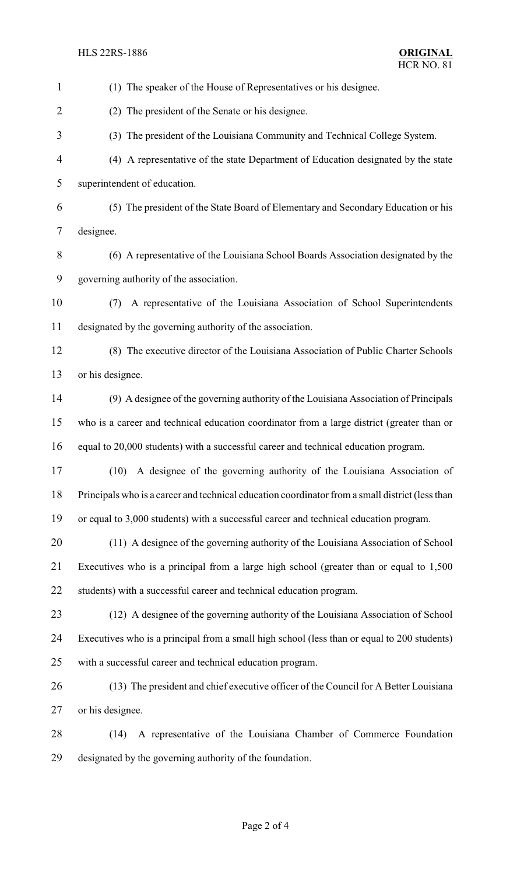```
HLS 22RS-1886 ORIGINAL
```

| $\mathbf{1}$   | (1) The speaker of the House of Representatives or his designee.                                |
|----------------|-------------------------------------------------------------------------------------------------|
| $\overline{2}$ | (2) The president of the Senate or his designee.                                                |
| 3              | (3) The president of the Louisiana Community and Technical College System.                      |
| 4              | (4) A representative of the state Department of Education designated by the state               |
| 5              | superintendent of education.                                                                    |
| 6              | (5) The president of the State Board of Elementary and Secondary Education or his               |
| 7              | designee.                                                                                       |
| 8              | (6) A representative of the Louisiana School Boards Association designated by the               |
| 9              | governing authority of the association.                                                         |
| 10             | A representative of the Louisiana Association of School Superintendents<br>(7)                  |
| 11             | designated by the governing authority of the association.                                       |
| 12             | (8) The executive director of the Louisiana Association of Public Charter Schools               |
| 13             | or his designee.                                                                                |
| 14             | (9) A designee of the governing authority of the Louisiana Association of Principals            |
| 15             | who is a career and technical education coordinator from a large district (greater than or      |
| 16             | equal to 20,000 students) with a successful career and technical education program.             |
| 17             | (10) A designee of the governing authority of the Louisiana Association of                      |
| 18             | Principals who is a career and technical education coordinator from a small district (less than |
| 19             | or equal to 3,000 students) with a successful career and technical education program.           |
| 20             | (11) A designee of the governing authority of the Louisiana Association of School               |
| 21             | Executives who is a principal from a large high school (greater than or equal to 1,500)         |
| 22             | students) with a successful career and technical education program.                             |
| 23             | (12) A designee of the governing authority of the Louisiana Association of School               |
| 24             | Executives who is a principal from a small high school (less than or equal to 200 students)     |
| 25             | with a successful career and technical education program.                                       |
| 26             | (13) The president and chief executive officer of the Council for A Better Louisiana            |
| 27             | or his designee.                                                                                |
| 28             | A representative of the Louisiana Chamber of Commerce Foundation<br>(14)                        |
| 29             | designated by the governing authority of the foundation.                                        |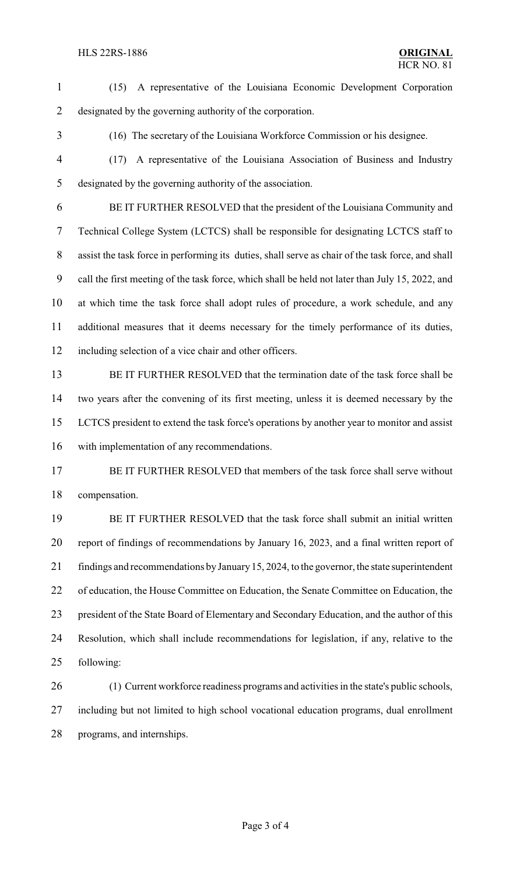| $\mathbf{1}$ | A representative of the Louisiana Economic Development Corporation<br>(15)                        |
|--------------|---------------------------------------------------------------------------------------------------|
| 2            | designated by the governing authority of the corporation.                                         |
| 3            | (16) The secretary of the Louisiana Workforce Commission or his designee.                         |
| 4            | A representative of the Louisiana Association of Business and Industry<br>(17)                    |
| 5            | designated by the governing authority of the association.                                         |
| 6            | BE IT FURTHER RESOLVED that the president of the Louisiana Community and                          |
| 7            | Technical College System (LCTCS) shall be responsible for designating LCTCS staff to              |
| 8            | assist the task force in performing its duties, shall serve as chair of the task force, and shall |
| 9            | call the first meeting of the task force, which shall be held not later than July 15, 2022, and   |
| 10           | at which time the task force shall adopt rules of procedure, a work schedule, and any             |
| 11           | additional measures that it deems necessary for the timely performance of its duties,             |
| 12           | including selection of a vice chair and other officers.                                           |
| 13           | BE IT FURTHER RESOLVED that the termination date of the task force shall be                       |
| 14           | two years after the convening of its first meeting, unless it is deemed necessary by the          |
| 15           | LCTCS president to extend the task force's operations by another year to monitor and assist       |
| 16           | with implementation of any recommendations.                                                       |
| 17           | BE IT FURTHER RESOLVED that members of the task force shall serve without                         |
| 18           | compensation.                                                                                     |
| 19           | BE IT FURTHER RESOLVED that the task force shall submit an initial written                        |
| 20           | report of findings of recommendations by January 16, 2023, and a final written report of          |
| 21           | findings and recommendations by January 15, 2024, to the governor, the state superintendent       |
| 22           | of education, the House Committee on Education, the Senate Committee on Education, the            |
| 23           | president of the State Board of Elementary and Secondary Education, and the author of this        |
| 24           | Resolution, which shall include recommendations for legislation, if any, relative to the          |
| 25           | following:                                                                                        |
| 26           | (1) Current workforce readiness programs and activities in the state's public schools,            |
| 27           | including but not limited to high school vocational education programs, dual enrollment           |
|              |                                                                                                   |

programs, and internships.